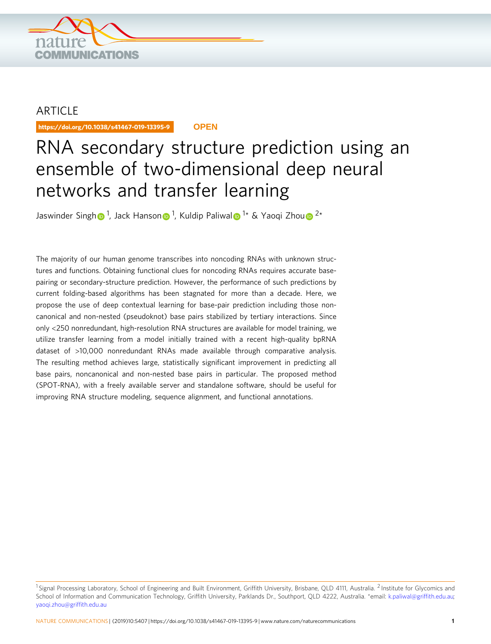

## **ARTICLE**

https://doi.org/10.1038/s41467-019-13395-9 **OPEN**

# RNA secondary structure prediction using an ensemble of two-dimensional deep neural networks and transfer learning

Jaswinder Sing[h](http://orcid.org/0000-0002-0478-5533) $\bigcirc$  <sup>1</sup>, Jack Ha[n](http://orcid.org/0000-0001-6956-6748)son $\bigcirc$  <sup>[1](http://orcid.org/0000-0001-6956-6748)</sup>, Ku[l](http://orcid.org/0000-0002-3553-3662)dip Paliwal $\bigcirc$  <s[u](http://orcid.org/0000-0002-9958-5699)p>1</sup>\* & Yaoqi Zhou $\bigcirc$  <sup>2</sup>\*

The majority of our human genome transcribes into noncoding RNAs with unknown structures and functions. Obtaining functional clues for noncoding RNAs requires accurate basepairing or secondary-structure prediction. However, the performance of such predictions by current folding-based algorithms has been stagnated for more than a decade. Here, we propose the use of deep contextual learning for base-pair prediction including those noncanonical and non-nested (pseudoknot) base pairs stabilized by tertiary interactions. Since only <250 nonredundant, high-resolution RNA structures are available for model training, we utilize transfer learning from a model initially trained with a recent high-quality bpRNA dataset of >10,000 nonredundant RNAs made available through comparative analysis. The resulting method achieves large, statistically significant improvement in predicting all base pairs, noncanonical and non-nested base pairs in particular. The proposed method (SPOT-RNA), with a freely available server and standalone software, should be useful for improving RNA structure modeling, sequence alignment, and functional annotations.

<sup>&</sup>lt;sup>1</sup> Signal Processing Laboratory, School of Engineering and Built Environment, Griffith University, Brisbane, QLD 4111, Australia. <sup>2</sup> Institute for Glycomics and School of Information and Communication Technology, Griffith University, Parklands Dr., Southport, QLD 4222, Australia. \*email: [k.paliwal@grif](mailto:k.paliwal@griffith.edu.au)fith.edu.au; [yaoqi.zhou@grif](mailto:yaoqi.zhou@griffith.edu.au)fith.edu.au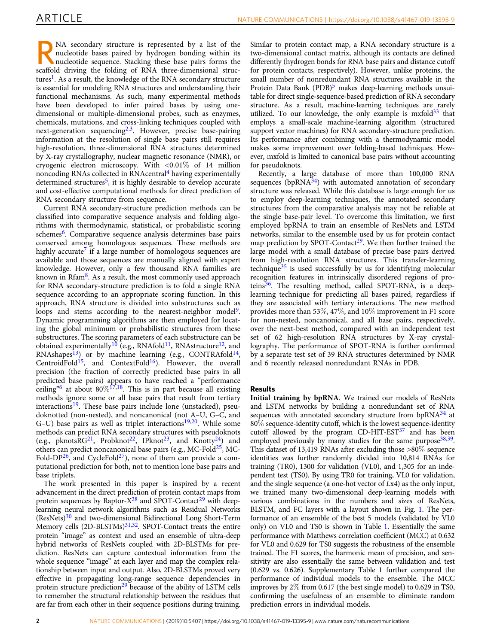RNA secondary structure is represented by a list of the<br>nucleotide bases paired by hydrogen bonding within its<br>nucleotide sequence. Stacking these base pairs forms the<br>secondary the folding of PNA these dimensions the nucleotide bases paired by hydrogen bonding within its scaffold driving the folding of RNA three-dimensional structures<sup>1</sup>. As a result, the knowledge of the RNA secondary structure is essential for modeling RNA structures and understanding their functional mechanisms. As such, many experimental methods have been developed to infer paired bases by using onedimensional or multiple-dimensional probes, such as enzymes, chemicals, mutations, and cross-linking techniques coupled with next-generation sequencing<sup>[2,3](#page-11-0)</sup>. However, precise base-pairing information at the resolution of single base pairs still requires high-resolution, three-dimensional RNA structures determined by X-ray crystallography, nuclear magnetic resonance (NMR), or cryogenic electron microscopy. With <0:01% of 14 million noncoding RNAs collected in RNAcentral<sup>[4](#page-11-0)</sup> having experimentally determined structures<sup>5</sup>, it is highly desirable to develop accurate and cost-effective computational methods for direct prediction of RNA secondary structure from sequence.

Current RNA secondary-structure prediction methods can be classified into comparative sequence analysis and folding algorithms with thermodynamic, statistical, or probabilistic scoring schemes<sup>6</sup>. Comparative sequence analysis determines base pairs conserved among homologous sequences. These methods are highly accurate<sup>[7](#page-11-0)</sup> if a large number of homologous sequences are available and those sequences are manually aligned with expert knowledge. However, only a few thousand RNA families are known in Rfa[m8.](#page-11-0) As a result, the most commonly used approach for RNA secondary-structure prediction is to fold a single RNA sequence according to an appropriate scoring function. In this approach, RNA structure is divided into substructures such as loops and stems according to the nearest-neighbor model<sup>9</sup>. Dynamic programming algorithms are then employed for locating the global minimum or probabilistic structures from these substructures. The scoring parameters of each substructure can be obtained experimentally<sup>[10](#page-11-0)</sup> (e.g., RNAfold<sup>11</sup>, RNAstructure<sup>12</sup>, and RNAshapes<sup>[13](#page-11-0)</sup>) or by machine learning (e.g., CONTRAfold<sup>14</sup>, CentroidFold<sup>[15](#page-11-0)</sup>, and ContextFold<sup>16</sup>). However, the overall precision (the fraction of correctly predicted base pairs in all predicted base pairs) appears to have reached a "performance ceiling<sup>7[6](#page-11-0)</sup> at about 80%<sup>[17](#page-11-0),18</sup>. This is in part because all existing methods ignore some or all base pairs that result from tertiary interactions<sup>19</sup>. These base pairs include lone (unstacked), pseudoknotted (non-nested), and noncanonical (not A–U, G–C, and G-U) base pairs as well as triplet interactions<sup>19,20</sup>. While some methods can predict RNA secondary structures with pseudoknots (e.g., pknots $\overline{R}G^{21}$  $\overline{R}G^{21}$  $\overline{R}G^{21}$ , Probknot<sup>22</sup>, IPknot<sup>23</sup>, and Knotty<sup>24</sup>) and others can predict noncanonical base pairs (e.g., MC-Fold[25](#page-11-0), MC-Fold-DP $^{26}$ , and CycleFold<sup>27</sup>), none of them can provide a computational prediction for both, not to mention lone base pairs and base triplets.

The work presented in this paper is inspired by a recent advancement in the direct prediction of protein contact maps from protein sequences by Raptor- $X^{28}$  $X^{28}$  $X^{28}$  and SPOT-Contact<sup>29</sup> with deeplearning neural network algorithms such as Residual Networks (ResNets)[30](#page-11-0) and two-dimensional Bidirectional Long Short-Term Memory cells (2D-BLSTMs)<sup>31,32</sup>. SPOT-Contact treats the entire protein "image" as context and used an ensemble of ultra-deep hybrid networks of ResNets coupled with 2D-BLSTMs for prediction. ResNets can capture contextual information from the whole sequence "image" at each layer and map the complex relationship between input and output. Also, 2D-BLSTMs proved very effective in propagating long-range sequence dependencies in protein structure prediction<sup>29</sup> because of the ability of LSTM cells to remember the structural relationship between the residues that are far from each other in their sequence positions during training.

Similar to protein contact map, a RNA secondary structure is a two-dimensional contact matrix, although its contacts are defined differently (hydrogen bonds for RNA base pairs and distance cutoff for protein contacts, respectively). However, unlike proteins, the small number of nonredundant RNA structures available in the Protein Data Bank (PDB)<sup>[5](#page-11-0)</sup> makes deep-learning methods unsuitable for direct single-sequence-based prediction of RNA secondary structure. As a result, machine-learning techniques are rarely utilized. To our knowledge, the only example is mxfold $33$  that employs a small-scale machine-learning algorithm (structured support vector machines) for RNA secondary-structure prediction. Its performance after combining with a thermodynamic model makes some improvement over folding-based techniques. However, mxfold is limited to canonical base pairs without accounting for pseudoknots.

Recently, a large database of more than 100,000 RNA sequences ( $bpRNA^{34}$ ) with automated annotation of secondary structure was released. While this database is large enough for us to employ deep-learning techniques, the annotated secondary structures from the comparative analysis may not be reliable at the single base-pair level. To overcome this limitation, we first employed bpRNA to train an ensemble of ResNets and LSTM networks, similar to the ensemble used by us for protein contact map prediction by SPOT-Contact<sup>29</sup>. We then further trained the large model with a small database of precise base pairs derived from high-resolution RNA structures. This transfer-learning technique $35$  is used successfully by us for identifying molecular recognition features in intrinsically disordered regions of proteins $36$ . The resulting method, called SPOT-RNA, is a deeplearning technique for predicting all bases paired, regardless if they are associated with tertiary interactions. The new method provides more than 53%, 47%, and 10% improvement in F1 score for non-nested, noncanonical, and all base pairs, respectively, over the next-best method, compared with an independent test set of 62 high-resolution RNA structures by X-ray crystallography. The performance of SPOT-RNA is further confirmed by a separate test set of 39 RNA structures determined by NMR and 6 recently released nonredundant RNAs in PDB.

### Results

Initial training by bpRNA. We trained our models of ResNets and LSTM networks by building a nonredundant set of RNA sequences with annotated secondary structure from  $bpRNA<sup>34</sup>$  $bpRNA<sup>34</sup>$  $bpRNA<sup>34</sup>$  at 80% sequence-identity cutoff, which is the lowest sequence-identity cutoff allowed by the program CD-HIT-EST $37$  and has been employed previously by many studies for the same purpose<sup>38,39</sup>. This dataset of 13,419 RNAs after excluding those >80% sequence identities was further randomly divided into 10,814 RNAs for training (TR0), 1300 for validation (VL0), and 1,305 for an independent test (TS0). By using TR0 for training, VL0 for validation, and the single sequence (a one-hot vector of Lx4) as the only input, we trained many two-dimensional deep-learning models with various combinations in the numbers and sizes of ResNets, BLSTM, and FC layers with a layout shown in Fig. [1.](#page-2-0) The performance of an ensemble of the best 5 models (validated by VL0 only) on VL0 and TS0 is shown in Table [1](#page-2-0). Essentially the same performance with Matthews correlation coefficient (MCC) at 0.632 for VL0 and 0.629 for TS0 suggests the robustness of the ensemble trained. The F1 scores, the harmonic mean of precision, and sensitivity are also essentially the same between validation and test (0.629 vs. 0.626). Supplementary Table 1 further compared the performance of individual models to the ensemble. The MCC improves by 2% from 0.617 (the best single model) to 0.629 in TS0, confirming the usefulness of an ensemble to eliminate random prediction errors in individual models.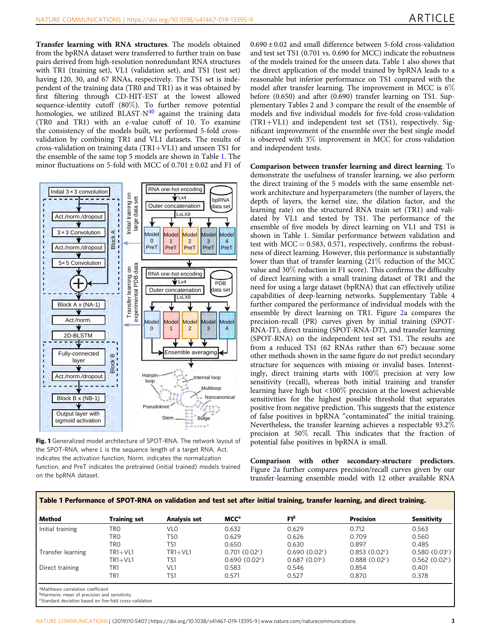<span id="page-2-0"></span>Transfer learning with RNA structures. The models obtained from the bpRNA dataset were transferred to further train on base pairs derived from high-resolution nonredundant RNA structures with TR1 (training set), VL1 (validation set), and TS1 (test set) having 120, 30, and 67 RNAs, respectively. The TS1 set is independent of the training data (TR0 and TR1) as it was obtained by first filtering through CD-HIT-EST at the lowest allowed sequence-identity cutoff  $(80\%)$ . To further remove potential homologies, we utilized BLAST- $N<sup>40</sup>$  $N<sup>40</sup>$  $N<sup>40</sup>$  against the training data (TR0 and TR1) with an e-value cutoff of 10. To examine the consistency of the models built, we performed 5-fold crossvalidation by combining TR1 and VL1 datasets. The results of cross-validation on training data (TR1+VL1) and unseen TS1 for the ensemble of the same top 5 models are shown in Table 1. The minor fluctuations on 5-fold with MCC of  $0.701 \pm 0.02$  and F1 of



Fig. 1 Generalized model architecture of SPOT-RNA. The network layout of the SPOT-RNA, where L is the sequence length of a target RNA, Act. indicates the activation function, Norm. indicates the normalization function, and PreT indicates the pretrained (initial trained) models trained on the bpRNA dataset.

 $0.690 \pm 0.02$  and small difference between 5-fold cross-validation and test set TS1 (0.701 vs. 0.690 for MCC) indicate the robustness of the models trained for the unseen data. Table 1 also shows that the direct application of the model trained by bpRNA leads to a reasonable but inferior performance on TS1 compared with the model after transfer learning. The improvement in MCC is  $6\%$ before (0.650) and after (0.690) transfer learning on TS1. Supplementary Tables 2 and 3 compare the result of the ensemble of models and five individual models for five-fold cross-validation (TR1+VL1) and independent test set (TS1), respectively. Significant improvement of the ensemble over the best single model is observed with 3% improvement in MCC for cross-validation and independent tests.

Comparison between transfer learning and direct learning. To demonstrate the usefulness of transfer learning, we also perform the direct training of the 5 models with the same ensemble network architecture and hyperparameters (the number of layers, the depth of layers, the kernel size, the dilation factor, and the learning rate) on the structured RNA train set (TR1) and validated by VL1 and tested by TS1. The performance of the ensemble of five models by direct learning on VL1 and TS1 is shown in Table 1. Similar performance between validation and test with  $MCC = 0.583, 0.571$ , respectively, confirms the robustness of direct learning. However, this performance is substantially lower than that of transfer learning (21% reduction of the MCC value and 30% reduction in F1 score). This confirms the difficulty of direct learning with a small training dataset of TR1 and the need for using a large dataset (bpRNA) that can effectively utilize capabilities of deep-learning networks. Supplementary Table 4 further compared the performance of individual models with the ensemble by direct learning on TR1. Figure [2](#page-3-0)a compares the precision-recall (PR) curves given by initial training (SPOT-RNA-IT), direct training (SPOT-RNA-DT), and transfer learning (SPOT-RNA) on the independent test set TS1. The results are from a reduced TS1 (62 RNAs rather than 67) because some other methods shown in the same figure do not predict secondary structure for sequences with missing or invalid bases. Interestingly, direct training starts with 100% precision at very low sensitivity (recall), whereas both initial training and transfer learning have high but <100% precision at the lowest achievable sensitivities for the highest possible threshold that separates positive from negative prediction. This suggests that the existence of false positives in bpRNA "contaminated" the initial training. Nevertheless, the transfer learning achieves a respectable 93.2% precision at 50% recall. This indicates that the fraction of potential false positives in bpRNA is small.

Comparison with other secondary-structure predictors. Figure [2a](#page-3-0) further compares precision/recall curves given by our transfer-learning ensemble model with 12 other available RNA

| Method            | <b>Training set</b> | Analysis set    | MCC <sup>a</sup> | $F1^b$                    | <b>Precision</b>          | Sensitivity     |
|-------------------|---------------------|-----------------|------------------|---------------------------|---------------------------|-----------------|
| Initial training  | TRO                 | VL <sub>0</sub> | 0.632            | 0.629                     | 0.712                     | 0.563           |
|                   | TRO                 | TSO             | 0.629            | 0.626                     | 0.709                     | 0.560           |
|                   | TRO                 | TS1             | 0.650            | 0.630                     | 0.897                     | 0.485           |
| Transfer learning | $TR1+VL1$           | $TR1+VL1$       | $0.701(0.02^c)$  | 0.690(0.02 <sup>c</sup> ) | $0.853(0.02^c)$           | $0.580(0.03^c)$ |
|                   | $TR1+VL1$           | TS1             | 0.690(0.02c)     | 0.687(0.01)               | 0.888(0.02 <sup>c</sup> ) | 0.562(0.02c)    |
| Direct training   | TR1                 | VL1             | 0.583            | 0.546                     | 0.854                     | 0.401           |
|                   | TR1                 | TS1             | 0.571            | 0.527                     | 0.870                     | 0.378           |

mance of SPOT-RNA on validation and test set after initial training, transfer learning, and direct training

**bHarmonic mean of precision and sensitivity** 

cStandard deviation based on five-fold cross-validation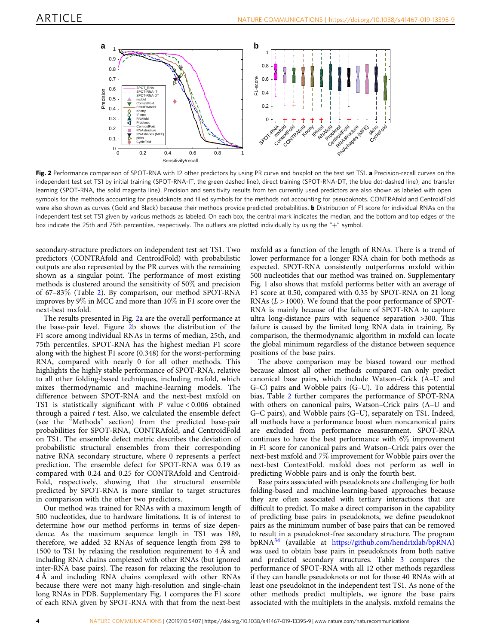<span id="page-3-0"></span>

Fig. 2 Performance comparison of SPOT-RNA with 12 other predictors by using PR curve and boxplot on the test set TS1. a Precision-recall curves on the independent test set TS1 by initial training (SPOT-RNA-IT, the green dashed line), direct training (SPOT-RNA-DT, the blue dot-dashed line), and transfer learning (SPOT-RNA, the solid magenta line). Precision and sensitivity results from ten currently used predictors are also shown as labeled with open symbols for the methods accounting for pseudoknots and filled symbols for the methods not accounting for pseudoknots. CONTRAfold and CentroidFold were also shown as curves (Gold and Black) because their methods provide predicted probabilities. **b** Distribution of F1 score for individual RNAs on the independent test set TS1 given by various methods as labeled. On each box, the central mark indicates the median, and the bottom and top edges of the box indicate the 25th and 75th percentiles, respectively. The outliers are plotted individually by using the "+" symbol.

secondary-structure predictors on independent test set TS1. Two predictors (CONTRAfold and CentroidFold) with probabilistic outputs are also represented by the PR curves with the remaining shown as a singular point. The performance of most existing methods is clustered around the sensitivity of 50% and precision of 67–83% (Table [2](#page-4-0)). By comparison, our method SPOT-RNA improves by 9% in MCC and more than 10% in F1 score over the next-best mxfold.

The results presented in Fig. 2a are the overall performance at the base-pair level. Figure 2b shows the distribution of the F1 score among individual RNAs in terms of median, 25th, and 75th percentiles. SPOT-RNA has the highest median F1 score along with the highest F1 score (0.348) for the worst-performing RNA, compared with nearly 0 for all other methods. This highlights the highly stable performance of SPOT-RNA, relative to all other folding-based techniques, including mxfold, which mixes thermodynamic and machine-learning models. The difference between SPOT-RNA and the next-best mxfold on TS1 is statistically significant with P value < 0.006 obtained through a paired  $t$  test. Also, we calculated the ensemble defect (see the "Methods" section) from the predicted base-pair probabilities for SPOT-RNA, CONTRAfold, and CentroidFold on TS1. The ensemble defect metric describes the deviation of probabilistic structural ensembles from their corresponding native RNA secondary structure, where 0 represents a perfect prediction. The ensemble defect for SPOT-RNA was 0.19 as compared with 0.24 and 0.25 for CONTRAfold and Centroid-Fold, respectively, showing that the structural ensemble predicted by SPOT-RNA is more similar to target structures in comparison with the other two predictors.

Our method was trained for RNAs with a maximum length of 500 nucleotides, due to hardware limitations. It is of interest to determine how our method performs in terms of size dependence. As the maximum sequence length in TS1 was 189, therefore, we added 32 RNAs of sequence length from 298 to 1500 to TS1 by relaxing the resolution requirement to 4 Å and including RNA chains complexed with other RNAs (but ignored inter-RNA base pairs). The reason for relaxing the resolution to 4 Å and including RNA chains complexed with other RNAs because there were not many high-resolution and single-chain long RNAs in PDB. Supplementary Fig. 1 compares the F1 score of each RNA given by SPOT-RNA with that from the next-best

mxfold as a function of the length of RNAs. There is a trend of lower performance for a longer RNA chain for both methods as expected. SPOT-RNA consistently outperforms mxfold within 500 nucleotides that our method was trained on. Supplementary Fig. 1 also shows that mxfold performs better with an average of F1 score at 0.50, compared with 0.35 by SPOT-RNA on 21 long RNAs  $(L > 1000)$ . We found that the poor performance of SPOT-RNA is mainly because of the failure of SPOT-RNA to capture ultra long-distance pairs with sequence separation >300. This failure is caused by the limited long RNA data in training. By comparison, the thermodynamic algorithm in mxfold can locate the global minimum regardless of the distance between sequence positions of the base pairs.

The above comparison may be biased toward our method because almost all other methods compared can only predict canonical base pairs, which include Watson–Crick (A–U and G–C) pairs and Wobble pairs (G–U). To address this potential bias, Table [2](#page-4-0) further compares the performance of SPOT-RNA with others on canonical pairs, Watson–Crick pairs (A–U and G–C pairs), and Wobble pairs (G–U), separately on TS1. Indeed, all methods have a performance boost when noncanonical pairs are excluded from performance measurement. SPOT-RNA continues to have the best performance with 6% improvement in F1 score for canonical pairs and Watson–Crick pairs over the next-best mxfold and 7% improvement for Wobble pairs over the next-best ContextFold. mxfold does not perform as well in predicting Wobble pairs and is only the fourth best.

Base pairs associated with pseudoknots are challenging for both folding-based and machine-learning-based approaches because they are often associated with tertiary interactions that are difficult to predict. To make a direct comparison in the capability of predicting base pairs in pseudoknots, we define pseudoknot pairs as the minimum number of base pairs that can be removed to result in a pseudoknot-free secondary structure. The program bpRNA[34](#page-11-0) (available at <https://github.com/hendrixlab/bpRNA>) was used to obtain base pairs in pseudoknots from both native and predicted secondary structures. Table [3](#page-5-0) compares the performance of SPOT-RNA with all 12 other methods regardless if they can handle pseudoknots or not for those 40 RNAs with at least one pseudoknot in the independent test TS1. As none of the other methods predict multiplets, we ignore the base pairs associated with the multiplets in the analysis. mxfold remains the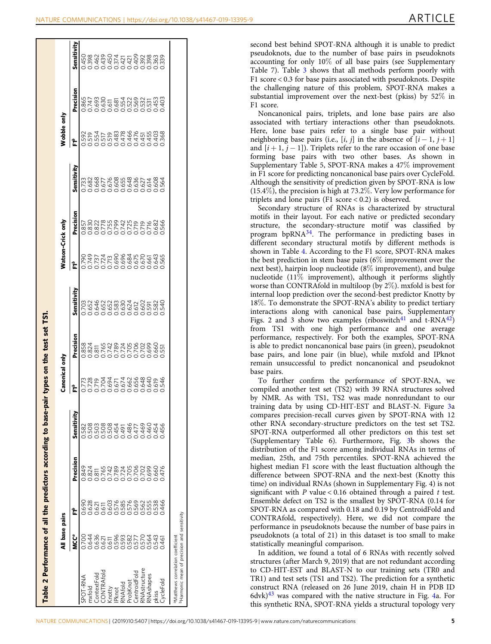<span id="page-4-0"></span>

| Table 2 Performance of all the predictors according to base                                 | ₹                                                     | base pairs                                                    |                                                                                         |                                                                                                  | Canonical                                  | 흥                                                                               |                                                                                         |                                                                        | Watson-Crick only                                                   |                                                                                               | Wobble only                                                      |                                                                                                                                                                                                                                                                                                     |                                                                                        |
|---------------------------------------------------------------------------------------------|-------------------------------------------------------|---------------------------------------------------------------|-----------------------------------------------------------------------------------------|--------------------------------------------------------------------------------------------------|--------------------------------------------|---------------------------------------------------------------------------------|-----------------------------------------------------------------------------------------|------------------------------------------------------------------------|---------------------------------------------------------------------|-----------------------------------------------------------------------------------------------|------------------------------------------------------------------|-----------------------------------------------------------------------------------------------------------------------------------------------------------------------------------------------------------------------------------------------------------------------------------------------------|----------------------------------------------------------------------------------------|
|                                                                                             | <b>MCC<sup>ª</sup></b>                                | ដំ                                                            | Precision                                                                               | Sensitivity                                                                                      | 눈                                          | Precision                                                                       | Sensitivity                                                                             | 눈                                                                      | Precision                                                           | Sensitivity                                                                                   | Ļ                                                                | Precision                                                                                                                                                                                                                                                                                           | Sensitivity                                                                            |
| SPOT-RNA                                                                                    |                                                       |                                                               |                                                                                         |                                                                                                  |                                            |                                                                                 |                                                                                         |                                                                        |                                                                     |                                                                                               |                                                                  |                                                                                                                                                                                                                                                                                                     |                                                                                        |
| mxfold                                                                                      |                                                       |                                                               |                                                                                         |                                                                                                  |                                            | 8884<br>8885 58787500005<br>8885 587875000005<br>0000000000000                  |                                                                                         |                                                                        |                                                                     |                                                                                               | <u>oooooooooooo</u>                                              | $\begin{array}{l} 657700 \\ 87700 \\ 69700 \\ 69700 \\ 69700 \\ 69700 \\ 69700 \\ 69700 \\ 69700 \\ 69700 \\ 69700 \\ 69700 \\ 69700 \\ 69700 \\ 69700 \\ 69700 \\ 69700 \\ 69700 \\ 69700 \\ 69700 \\ 69700 \\ 69700 \\ 69700 \\ 69700 \\ 69700 \\ 69700 \\ 69700 \\ 69700 \\ 69700 \\ 69700 \\ 6$ |                                                                                        |
| CONTRAfold<br>ContextFold                                                                   |                                                       |                                                               |                                                                                         |                                                                                                  |                                            |                                                                                 |                                                                                         |                                                                        |                                                                     |                                                                                               |                                                                  |                                                                                                                                                                                                                                                                                                     |                                                                                        |
| Knotty                                                                                      |                                                       |                                                               |                                                                                         |                                                                                                  |                                            |                                                                                 |                                                                                         |                                                                        |                                                                     |                                                                                               |                                                                  |                                                                                                                                                                                                                                                                                                     |                                                                                        |
| <b>IPknot</b>                                                                               |                                                       |                                                               |                                                                                         |                                                                                                  |                                            |                                                                                 |                                                                                         |                                                                        |                                                                     |                                                                                               |                                                                  |                                                                                                                                                                                                                                                                                                     |                                                                                        |
| RNAfold                                                                                     |                                                       |                                                               |                                                                                         |                                                                                                  |                                            |                                                                                 |                                                                                         |                                                                        |                                                                     |                                                                                               |                                                                  |                                                                                                                                                                                                                                                                                                     |                                                                                        |
| ProbKnot                                                                                    |                                                       |                                                               |                                                                                         |                                                                                                  |                                            |                                                                                 |                                                                                         |                                                                        |                                                                     |                                                                                               |                                                                  |                                                                                                                                                                                                                                                                                                     |                                                                                        |
| RNAstructure<br>CentroidFold                                                                |                                                       |                                                               |                                                                                         |                                                                                                  |                                            |                                                                                 |                                                                                         |                                                                        |                                                                     |                                                                                               |                                                                  |                                                                                                                                                                                                                                                                                                     |                                                                                        |
| RNAshapes                                                                                   |                                                       |                                                               |                                                                                         |                                                                                                  |                                            |                                                                                 |                                                                                         |                                                                        |                                                                     |                                                                                               |                                                                  |                                                                                                                                                                                                                                                                                                     |                                                                                        |
| pkiss                                                                                       |                                                       |                                                               |                                                                                         |                                                                                                  |                                            |                                                                                 |                                                                                         |                                                                        |                                                                     |                                                                                               |                                                                  |                                                                                                                                                                                                                                                                                                     |                                                                                        |
| CycleFold                                                                                   |                                                       |                                                               |                                                                                         |                                                                                                  |                                            |                                                                                 |                                                                                         |                                                                        |                                                                     |                                                                                               |                                                                  |                                                                                                                                                                                                                                                                                                     |                                                                                        |
| Harmonic mean of precision and sensitivity<br><sup>a</sup> Matthews correlation coefficient |                                                       |                                                               |                                                                                         |                                                                                                  |                                            |                                                                                 |                                                                                         |                                                                        |                                                                     |                                                                                               |                                                                  |                                                                                                                                                                                                                                                                                                     |                                                                                        |
|                                                                                             |                                                       |                                                               |                                                                                         |                                                                                                  |                                            |                                                                                 |                                                                                         |                                                                        |                                                                     |                                                                                               |                                                                  |                                                                                                                                                                                                                                                                                                     |                                                                                        |
|                                                                                             |                                                       |                                                               |                                                                                         |                                                                                                  |                                            |                                                                                 |                                                                                         |                                                                        |                                                                     |                                                                                               |                                                                  |                                                                                                                                                                                                                                                                                                     |                                                                                        |
|                                                                                             |                                                       |                                                               |                                                                                         |                                                                                                  |                                            |                                                                                 |                                                                                         |                                                                        |                                                                     |                                                                                               |                                                                  |                                                                                                                                                                                                                                                                                                     |                                                                                        |
|                                                                                             |                                                       |                                                               |                                                                                         |                                                                                                  |                                            |                                                                                 |                                                                                         |                                                                        |                                                                     |                                                                                               |                                                                  |                                                                                                                                                                                                                                                                                                     |                                                                                        |
|                                                                                             |                                                       |                                                               |                                                                                         |                                                                                                  |                                            |                                                                                 |                                                                                         |                                                                        |                                                                     |                                                                                               |                                                                  |                                                                                                                                                                                                                                                                                                     |                                                                                        |
| to CD-HIT-ES<br>TR1) and test<br>construct RNA<br>$6$ dvk $)^{43}$ was c                    | pseudoknots (<br>statistically me<br>structures (afte | Ensemble defe<br>SPOT-RNA as<br>CONTRAfold,<br>performance in | median, 25th,<br>highest media<br>difference bety<br>time) on indivi<br>significant wit | training data<br>compares pred<br>other RNA se<br>SPOT-RNA o<br>(Supplementar<br>distribution of | base pairs.<br>compiled anot<br>by NMR. As | from TS1 w<br>performance,<br>is able to pred<br>base pairs, an<br>remain unsuc | worse than CC<br>internal loop p<br>$18\%$ . To demo<br>interactions a<br>Figs. 2 and 3 | shown in Tabl<br>the best predic<br>next best), hair<br>nucleotide (11 | motifs in their<br>structure, the<br>program bpR<br>different secor | Supplementary<br>in F1 score for<br>Although the s<br>$(15.4\%)$ , the pi<br>triplets and loi | Here, lone b<br>neighboring ba<br>and $[i+1, j-$<br>forming base | the challengin<br>substantial im<br>F1 score.<br>associated wit                                                                                                                                                                                                                                     | second best be<br>pseudoknots,<br>accounting for<br>Table 7). Tabl<br>F1 score $< 0.3$ |
|                                                                                             | In addition,                                          |                                                               |                                                                                         |                                                                                                  | To further                                 |                                                                                 |                                                                                         |                                                                        | Secondary s                                                         |                                                                                               |                                                                  | Noncanonic                                                                                                                                                                                                                                                                                          |                                                                                        |
|                                                                                             |                                                       |                                                               |                                                                                         |                                                                                                  |                                            |                                                                                 |                                                                                         |                                                                        |                                                                     |                                                                                               |                                                                  |                                                                                                                                                                                                                                                                                                     |                                                                                        |

second best behind SPOT-RNA although it is unable to predict pseudoknots, due to the number of base pairs in pseudoknots accounting for only 10% of all base pairs (see Supplementary Table 7). Table [3](#page-5-0) shows that all methods perform poorly with F1 score < 0.3 for base pairs associated with pseudoknots. Despite the challenging nature of this problem, SPOT-RNA makes a substantial improvement over the next-best (pkiss) by 52% in F1 score.

Noncanonical pairs, triplets, and lone base pairs are also associated with tertiary interactions other than pseudoknots. Here, lone base pairs refer to a single base pair without neighboring base pairs (i.e., [i, j] in the absence of  $[i - 1, j + 1]$ and  $[i+1, j-1]$ ). Triplets refer to the rare occasion of one base forming base pairs with two other bases. As shown in Supplementary Table 5, SPOT-RNA makes a 47% improvement in F1 score for predicting noncanonical base pairs over CycleFold. Although the sensitivity of prediction given by SPOT-RNA is low (15.4%), the precision is high at 73.2%. Very low performance for triplets and lone pairs (F1 score < 0.2) is observed.

Secondary structure of RNAs is characterized by structural motifs in their layout. For each native or predicted secondary structure, the secondary-structure motif was classified by program bpRNA[34](#page-11-0). The performance in predicting bases in different secondary structural motifs by different methods is shown in Table [4](#page-6-0). According to the F1 score, SPOT-RNA makes the best prediction in stem base pairs (6% improvement over the next best), hairpin loop nucleotide (8% improvement), and bulge nucleotide ( $11\%$  improvement), although it performs slightly worse than CONTRAfold in multiloop (by 2%). mxfold is best for internal loop prediction over the second-best predictor Knotty by 18%. To demonstrate the SPOT-RNA's ability to predict tertiary interactions along with canonical base pairs, Supplementary Figs. 2 and 3 show two examples (riboswitch<sup>[41](#page-11-0)</sup> and t-RNA<sup>42</sup>) from TS1 with one high performance and one average performance, respectively. For both the examples, SPOT-RNA is able to predict noncanonical base pairs (in green), pseudoknot base pairs, and lone pair (in blue), while mxfold and IPknot remain unsuccessful to predict noncanonical and pseudoknot base pairs.

To further confirm the performance of SPOT-RNA, we compiled another test set (TS2) with 39 RNA structures solved by NMR. As with TS1, TS2 was made nonredundant to our training data by using CD-HIT-EST and BLAST-N. Figure [3a](#page-7-0) compares precision-recall curves given by SPOT-RNA with 12 other RNA secondary-structure predictors on the test set TS2. SPOT-RNA outperformed all other predictors on this test set (Supplementary Table 6). Furthermore, Fig. [3](#page-7-0)b shows the distribution of the F1 score among individual RNAs in terms of median, 25th, and 75th percentiles. SPOT-RNA achieved the highest median F1 score with the least fluctuation although the difference between SPOT-RNA and the next-best (Knotty this time) on individual RNAs (shown in Supplementary Fig. 4) is not significant with  $P$  value < 0.16 obtained through a paired  $t$  test. Ensemble defect on TS2 is the smallest by SPOT-RNA (0.14 for SPOT-RNA as compared with 0.18 and 0.19 by CentroidFold and CONTRAfold, respectively). Here, we did not compare the performance in pseudoknots because the number of base pairs in pseudoknots (a total of 21) in this dataset is too small to make statistically meaningful comparison.

In addition, we found a total of 6 RNAs with recently solved structures (after March 9, 2019) that are not redundant according to CD-HIT-EST and BLAST-N to our training sets (TR0 and TR1) and test sets (TS1 and TS2). The prediction for a synthetic construct RNA (released on 26 June 2019, chain H in PDB ID  $6$ dvk $)^{43}$  $)^{43}$  $)^{43}$  was compared with the native structure in Fig. [4a](#page-8-0). For this synthetic RNA, SPOT-RNA yields a structural topology very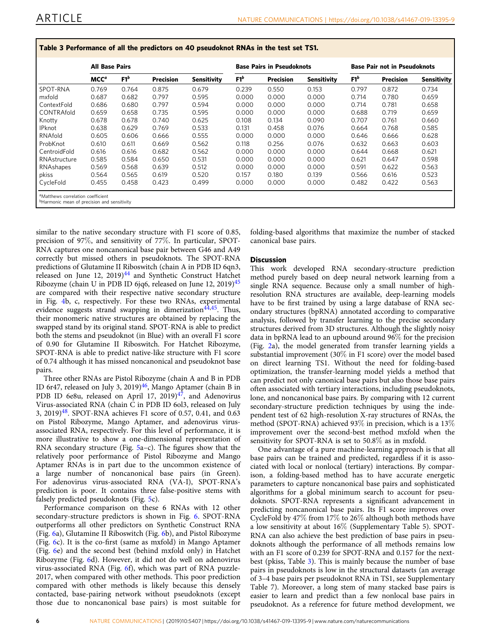<span id="page-5-0"></span>

|               | <b>All Base Pairs</b> |        |                  |                    |        | <b>Base Pairs in Pseudoknots</b> |                    |        | <b>Base Pair not in Pseudoknots</b> |             |
|---------------|-----------------------|--------|------------------|--------------------|--------|----------------------------------|--------------------|--------|-------------------------------------|-------------|
|               | MCC <sup>a</sup>      | $F1^b$ | <b>Precision</b> | <b>Sensitivity</b> | $F1^b$ | <b>Precision</b>                 | <b>Sensitivity</b> | $F1^b$ | <b>Precision</b>                    | Sensitivity |
| SPOT-RNA      | 0.769                 | 0.764  | 0.875            | 0.679              | 0.239  | 0.550                            | 0.153              | 0.797  | 0.872                               | 0.734       |
| mxfold        | 0.687                 | 0.682  | 0.797            | 0.595              | 0.000  | 0.000                            | 0.000              | 0.714  | 0.780                               | 0.659       |
| ContextFold   | 0.686                 | 0.680  | 0.797            | 0.594              | 0.000  | 0.000                            | 0.000              | 0.714  | 0.781                               | 0.658       |
| CONTRAfold    | 0.659                 | 0.658  | 0.735            | 0.595              | 0.000  | 0.000                            | 0.000              | 0.688  | 0.719                               | 0.659       |
| Knotty        | 0.678                 | 0.678  | 0.740            | 0.625              | 0.108  | 0.134                            | 0.090              | 0.707  | 0.761                               | 0.660       |
| <b>IPknot</b> | 0.638                 | 0.629  | 0.769            | 0.533              | 0.131  | 0.458                            | 0.076              | 0.664  | 0.768                               | 0.585       |
| RNAfold       | 0.605                 | 0.606  | 0.666            | 0.555              | 0.000  | 0.000                            | 0.000              | 0.646  | 0.666                               | 0.628       |
| ProbKnot      | 0.610                 | 0.611  | 0.669            | 0.562              | 0.118  | 0.256                            | 0.076              | 0.632  | 0.663                               | 0.603       |
| CentroidFold  | 0.616                 | 0.616  | 0.682            | 0.562              | 0.000  | 0.000                            | 0.000              | 0.644  | 0.668                               | 0.621       |
| RNAstructure  | 0.585                 | 0.584  | 0.650            | 0.531              | 0.000  | 0.000                            | 0.000              | 0.621  | 0.647                               | 0.598       |
| RNAshapes     | 0.569                 | 0.568  | 0.639            | 0.512              | 0.000  | 0.000                            | 0.000              | 0.591  | 0.622                               | 0.563       |
| pkiss         | 0.564                 | 0.565  | 0.619            | 0.520              | 0.157  | 0.180                            | 0.139              | 0.566  | 0.616                               | 0.523       |
| CycleFold     | 0.455                 | 0.458  | 0.423            | 0.499              | 0.000  | 0.000                            | 0.000              | 0.482  | 0.422                               | 0.563       |

similar to the native secondary structure with F1 score of 0.85, precision of 97%, and sensitivity of 77%. In particular, SPOT-RNA captures one noncanonical base pair between G46 and A49 correctly but missed others in pseudoknots. The SPOT-RNA predictions of Glutamine II Riboswitch (chain A in PDB ID 6qn3, released on June 12, 2019) $44$  and Synthetic Construct Hatchet Ribozyme (chain U in PDB ID 6jq6, released on June 12, 2019)<sup>45</sup> are compared with their respective native secondary structure in Fig. [4](#page-8-0)b, c, respectively. For these two RNAs, experimental evidence suggests strand swapping in dimerization<sup> $4\overline{4}$ , Thus,</sup> their monomeric native structures are obtained by replacing the swapped stand by its original stand. SPOT-RNA is able to predict both the stems and pseudoknot (in Blue) with an overall F1 score of 0.90 for Glutamine II Riboswitch. For Hatchet Ribozyme, SPOT-RNA is able to predict native-like structure with F1 score of 0.74 although it has missed noncanonical and pseudoknot base pairs.

Three other RNAs are Pistol Ribozyme (chain A and B in PDB ID 6r47, released on July 3, 2019)<sup>46</sup>, Mango Aptamer (chain B in PDB ID 6e8u, released on April 17, 2019)<sup>47</sup>, and Adenovirus Virus-associated RNA (chain C in PDB ID 6ol3, released on July 3, 2019)<sup>[48](#page-11-0)</sup>. SPOT-RNA achieves F1 score of 0.57, 0.41, and 0.63 on Pistol Ribozyme, Mango Aptamer, and adenovirus virusassociated RNA, respectively. For this level of performance, it is more illustrative to show a one-dimensional representation of RNA secondary structure (Fig. [5](#page-9-0)a–c). The figures show that the relatively poor performance of Pistol Ribozyme and Mango Aptamer RNAs is in part due to the uncommon existence of a large number of noncanonical base pairs (in Green). For adenovirus virus-associated RNA (VA-I), SPOT-RNA's prediction is poor. It contains three false-positive stems with falsely predicted pseudoknots (Fig. [5](#page-9-0)c).

Performance comparison on these 6 RNAs with 12 other secondary-structure predictors is shown in Fig. [6.](#page-10-0) SPOT-RNA outperforms all other predictors on Synthetic Construct RNA (Fig. [6a](#page-10-0)), Glutamine II Riboswitch (Fig. [6b](#page-10-0)), and Pistol Ribozyme (Fig. [6c](#page-10-0)). It is the co-first (same as mxfold) in Mango Aptamer (Fig. [6](#page-10-0)e) and the second best (behind mxfold only) in Hatchet Ribozyme (Fig. [6](#page-10-0)d). However, it did not do well on adenovirus virus-associated RNA (Fig. [6f](#page-10-0)), which was part of RNA puzzle-2017, when compared with other methods. This poor prediction compared with other methods is likely because this densely contacted, base-pairing network without pseudoknots (except those due to noncanonical base pairs) is most suitable for folding-based algorithms that maximize the number of stacked canonical base pairs.

### **Discussion**

This work developed RNA secondary-structure prediction method purely based on deep neural network learning from a single RNA sequence. Because only a small number of highresolution RNA structures are available, deep-learning models have to be first trained by using a large database of RNA secondary structures (bpRNA) annotated according to comparative analysis, followed by transfer learning to the precise secondary structures derived from 3D structures. Although the slightly noisy data in bpRNA lead to an upbound around 96% for the precision (Fig. [2a](#page-3-0)), the model generated from transfer learning yields a substantial improvement (30% in F1 score) over the model based on direct learning TS1. Without the need for folding-based optimization, the transfer-learning model yields a method that can predict not only canonical base pairs but also those base pairs often associated with tertiary interactions, including pseudoknots, lone, and noncanonical base pairs. By comparing with 12 current secondary-structure prediction techniques by using the independent test of 62 high-resolution X-ray structures of RNAs, the method (SPOT-RNA) achieved 93% in precision, which is a 13% improvement over the second-best method mxfold when the sensitivity for SPOT-RNA is set to 50.8% as in mxfold.

One advantage of a pure machine-learning approach is that all base pairs can be trained and predicted, regardless if it is associated with local or nonlocal (tertiary) interactions. By comparison, a folding-based method has to have accurate energetic parameters to capture noncanonical base pairs and sophisticated algorithms for a global minimum search to account for pseudoknots. SPOT-RNA represents a significant advancement in predicting noncanonical base pairs. Its F1 score improves over CycleFold by 47% from 17% to 26% although both methods have a low sensitivity at about 16% (Supplementary Table 5). SPOT-RNA can also achieve the best prediction of base pairs in pseudoknots although the performance of all methods remains low with an F1 score of 0.239 for SPOT-RNA and 0.157 for the nextbest (pkiss, Table 3). This is mainly because the number of base pairs in pseudoknots is low in the structural datasets (an average of 3–4 base pairs per pseudoknot RNA in TS1, see Supplementary Table 7). Moreover, a long stem of many stacked base pairs is easier to learn and predict than a few nonlocal base pairs in pseudoknot. As a reference for future method development, we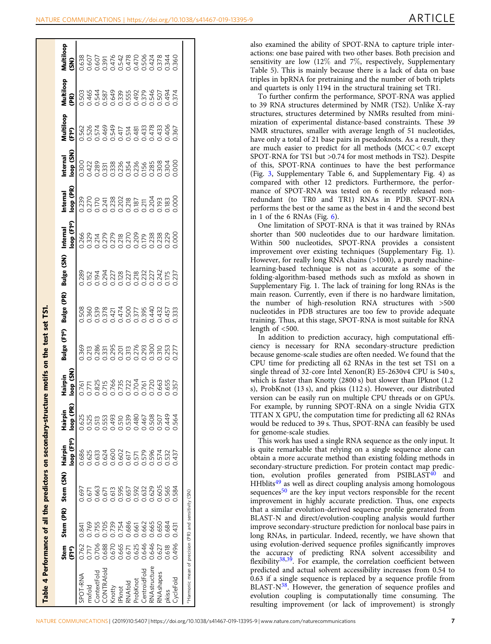<span id="page-6-0"></span>

| NATURE COMMUNICATIONS   https://doi.org/10.1038/s41467-019-13395-9 | ARTICLE |
|--------------------------------------------------------------------|---------|
|--------------------------------------------------------------------|---------|

| Table 4 Performance of all the predictors on secondary-struct     |               |       |                     |                                    |                      |                      | ure motifs on the test set TS1 |            |            |                                    |                      |                      |                                 |                |                                 |
|-------------------------------------------------------------------|---------------|-------|---------------------|------------------------------------|----------------------|----------------------|--------------------------------|------------|------------|------------------------------------|----------------------|----------------------|---------------------------------|----------------|---------------------------------|
|                                                                   | Stem<br>(FTº) |       | Stem (PR) Stem (SN) | loop (F1 <sup>a</sup> )<br>Hairpin | loop (PR)<br>Hairpin | loop (SN)<br>Hairpin | (F1ª)<br>Bulge                 | Bulge (PR) | Bulge (SN) | oop (F1 <sup>q</sup> )<br>Internal | loop (PR)<br>nternal | loop (SN)<br>nternal | Aultiloop<br>(FT <sup>e</sup> ) | Multiloop<br>R | Multiloop<br>$\mathbf{\hat{s}}$ |
| SPOT-RNA                                                          | 0.762         | 0.841 | 0.697               | 0.686                              | 0.625                |                      |                                |            |            |                                    |                      |                      |                                 |                |                                 |
| mxfold                                                            | 717           | 0.769 | 0.671               | 0.625                              | 0.525                |                      |                                |            |            |                                    |                      |                      |                                 |                |                                 |
| ContextFold                                                       | 0.706         | 0.755 | 0.663               | 0.633                              | 0.513                |                      |                                |            |            |                                    |                      |                      |                                 |                |                                 |
| CONTRAfold                                                        | 0.688         | 0.705 | 0.671               | 0.624                              | 0.553                |                      |                                |            |            |                                    |                      |                      |                                 |                |                                 |
| Knotty                                                            | 0.670         | 0.739 |                     |                                    | 0.493                |                      |                                |            |            |                                    |                      |                      |                                 |                |                                 |
| Pknot                                                             | 0.665         | 0.754 | 0.613               | 0.600                              | 0.510                |                      |                                |            |            |                                    |                      |                      |                                 |                |                                 |
| RNAfold                                                           | 0.671         | 0.686 | 0.657               |                                    | 0.539                |                      |                                |            |            |                                    |                      |                      |                                 |                |                                 |
| ProbKnot                                                          | 0.625         | 0.661 |                     | 0.617<br>0.571                     | 0.480                |                      |                                |            |            |                                    |                      |                      |                                 |                |                                 |
| CentroidFold                                                      | 0.646         | 0.662 | 0.592<br>0.632      | 0.579<br>0.596                     | 0.467                |                      |                                |            |            |                                    |                      |                      |                                 |                |                                 |
| <b>NAstructure</b>                                                | 0.646         | 1.665 | 0.629               |                                    | 0.508                |                      |                                |            |            |                                    |                      |                      |                                 |                |                                 |
| <b>NA</b> shapes                                                  | 0.627         | 0.650 | 0.605               | 0.574                              | 0.507                |                      |                                |            |            |                                    |                      |                      |                                 |                |                                 |
| pkiss                                                             | 0.618         | 0.684 | 0.565               | 0.532                              | 0.449                |                      |                                |            |            |                                    |                      |                      |                                 |                |                                 |
| CycleFold                                                         | 0.496         | 0.431 | 0.584               | 0.437                              | 0.564                |                      |                                |            |            |                                    |                      |                      |                                 |                |                                 |
| <sup>a</sup> Harmonic mean of precision (PR) and sensitivity (SN) |               |       |                     |                                    |                      |                      |                                |            |            |                                    |                      |                      |                                 |                |                                 |

also examined the ability of SPOT-RNA to capture triple interactions: one base paired with two other bases. Both precision and sensitivity are low  $(12\%$  and  $7\%$ , respectively, Supplementary Table 5). This is mainly because there is a lack of data on base triples in bpRNA for pretraining and the number of both triplets and quartets is only 1194 in the structural training set TR1.

To further confirm the performance, SPOT-RNA was applied to 39 RNA structures determined by NMR (TS2). Unlike X-ray structures, structures determined by NMRs resulted from minimization of experimental distance-based constraints. These 39 NMR structures, smaller with average length of 51 nucleotides, have only a total of 21 base pairs in pseudoknots. As a result, they are much easier to predict for all methods (MCC < 0.7 except SPOT-RNA for TS1 but >0.74 for most methods in TS2). Despite of this, SPOT-RNA continues to have the best performance (Fig. [3,](#page-7-0) Supplementary Table 6, and Supplementary Fig. 4) as compared with other 12 predictors. Furthermore, the performance of SPOT-RNA was tested on 6 recently released nonredundant (to TR0 and TR1) RNAs in PDB. SPOT-RNA performs the best or the same as the best in 4 and the second best in 1 of the 6 RNAs (Fig.  $6$ ).

One limitation of SPOT-RNA is that it was trained by RNAs shorter than 500 nucleotides due to our hardware limitation. Within 500 nucleotides, SPOT-RNA provides a consistent improvement over existing techniques (Supplementary Fig. 1). However, for really long RNA chains (>1000), a purely machinelearning-based technique is not as accurate as some of the folding-algorithm-based methods such as mxfold as shown in Supplementary Fig. 1. The lack of training for long RNAs is the main reason. Currently, even if there is no hardware limitation, the number of high-resolution RNA structures with >500 nucleotides in PDB structures are too few to provide adequate training. Thus, at this stage, SPOT-RNA is most suitable for RNA length of  $<500$ .

In addition to prediction accuracy, high computational efficiency is necessary for RNA secondary-structure prediction because genome-scale studies are often needed. We found that the CPU time for predicting all 62 RNAs in the test set TS1 on a single thread of 32-core Intel Xenon(R) E5-2630v4 CPU is 540 s, which is faster than Knotty (2800 s) but slower than IPknot (1.2 s), ProbKnot (13 s), and pkiss (112 s). However, our distributed version can be easily run on multiple CPU threads or on GPUs. For example, by running SPOT-RNA on a single Nvidia GTX TITAN X GPU, the computation time for predicting all 62 RNAs would be reduced to 39 s. Thus, SPOT-RNA can feasibly be used for genome-scale studies.

This work has used a single RNA sequence as the only input. It is quite remarkable that relying on a single sequence alone can obtain a more accurate method than existing folding methods in secondary-structure prediction. For protein contact map predic-tion, evolution profiles generated from PSIBLAST<sup>[40](#page-11-0)</sup> and HHblits<sup>[49](#page-11-0)</sup> as well as direct coupling analysis among homologous sequences<sup>[50](#page-11-0)</sup> are the key input vectors responsible for the recent improvement in highly accurate prediction. Thus, one expects that a similar evolution-derived sequence profile generated from BLAST-N and direct/evolution-coupling analysis would further improve secondary-structure prediction for nonlocal base pairs in long RNAs, in particular. Indeed, recently, we have shown that using evolution-derived sequence profiles significantly improves the accuracy of predicting RNA solvent accessibility and flexibility<sup>38,39</sup>. For example, the correlation coefficient between predicted and actual solvent accessibility increases from 0.54 to 0.63 if a single sequence is replaced by a sequence profile from BLAST-N<sup>38</sup>. However, the generation of sequence profiles and evolution coupling is computationally time consuming. The resulting improvement (or lack of improvement) is strongly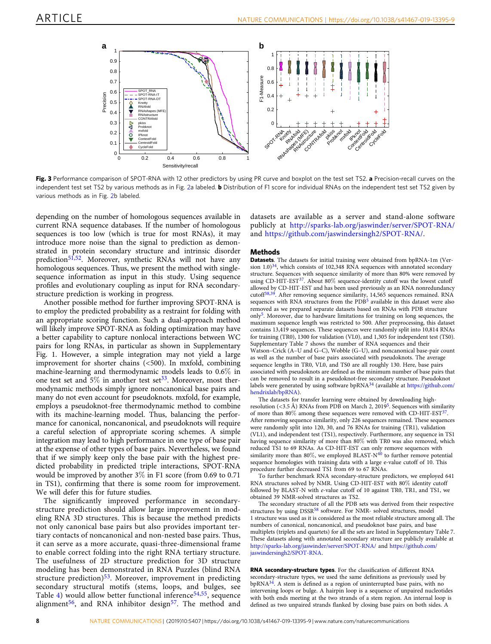<span id="page-7-0"></span>

Fig. 3 Performance comparison of SPOT-RNA with 12 other predictors by using PR curve and boxplot on the test set TS2. a Precision-recall curves on the independent test set TS[2](#page-3-0) by various methods as in Fig. 2a labeled. **b** Distribution of F1 score for individual RNAs on the independent test set TS2 given by various methods as in Fig. [2](#page-3-0)b labeled.

depending on the number of homologous sequences available in current RNA sequence databases. If the number of homologous sequences is too low (which is true for most RNAs), it may introduce more noise than the signal to prediction as demonstrated in protein secondary structure and intrinsic disorder prediction<sup>51,52</sup>. Moreover, synthetic RNAs will not have any homologous sequences. Thus, we present the method with singlesequence information as input in this study. Using sequence profiles and evolutionary coupling as input for RNA secondarystructure prediction is working in progress.

Another possible method for further improving SPOT-RNA is to employ the predicted probability as a restraint for folding with an appropriate scoring function. Such a dual-approach method will likely improve SPOT-RNA as folding optimization may have a better capability to capture nonlocal interactions between WC pairs for long RNAs, in particular as shown in Supplementary Fig. 1. However, a simple integration may not yield a large improvement for shorter chains (<500). In mxfold, combining machine-learning and thermodynamic models leads to 0.6% in one test set and  $5\%$  in another test set<sup>33</sup>. Moreover, most thermodynamic methods simply ignore noncanonical base pairs and many do not even account for pseudoknots. mxfold, for example, employs a pseudoknot-free thermodynamic method to combine with its machine-learning model. Thus, balancing the performance for canonical, noncanonical, and pseudoknots will require a careful selection of appropriate scoring schemes. A simple integration may lead to high performance in one type of base pair at the expense of other types of base pairs. Nevertheless, we found that if we simply keep only the base pair with the highest predicted probability in predicted triple interactions, SPOT-RNA would be improved by another 3% in F1 score (from 0.69 to 0.71 in TS1), confirming that there is some room for improvement. We will defer this for future studies.

The significantly improved performance in secondarystructure prediction should allow large improvement in modeling RNA 3D structures. This is because the method predicts not only canonical base pairs but also provides important tertiary contacts of noncanonical and non-nested base pairs. Thus, it can serve as a more accurate, quasi-three-dimensional frame to enable correct folding into the right RNA tertiary structure. The usefulness of 2D structure prediction for 3D structure modeling has been demonstrated in RNA Puzzles (blind RNA structure prediction) $53$ . Moreover, improvement in predicting secondary structural motifs (stems, loops, and bulges, see Table [4\)](#page-6-0) would allow better functional inference<sup>[54](#page-12-0),[55](#page-12-0)</sup>, sequence alignment<sup>[56](#page-12-0)</sup>, and RNA inhibitor design<sup>[57](#page-12-0)</sup>. The method and

datasets are available as a server and stand-alone software publicly at <http://sparks-lab.org/jaswinder/server/SPOT-RNA/> and <https://github.com/jaswindersingh2/SPOT-RNA/>.

#### Methods

Datasets. The datasets for initial training were obtained from bpRNA-1m (Version  $1.0$ )<sup>34</sup>, which consists of 102,348 RNA sequences with annotated secondary structure. Sequences with sequence similarity of more than 80% were removed by using CD-HIT-EST<sup>37</sup>. About 80% sequence-identity cutoff was the lowest cutoff allowed by CD-HIT-EST and has been used previously as an RNA nonredundancy cutoff[38,39.](#page-11-0) After removing sequence similarity, 14,565 sequences remained. RNA sequences with RNA structures from the PDB<sup>[5](#page-11-0)</sup> available in this dataset were also removed as we prepared separate datasets based on RNAs with PDB structure only[5.](#page-11-0) Moreover, due to hardware limitations for training on long sequences, the maximum sequence length was restricted to 500. After preprocessing, this dataset contains 13,419 sequences. These sequences were randomly split into 10,814 RNAs for training (TR0), 1300 for validation (VL0), and 1,305 for independent test (TS0). Supplementary Table 7 shows the number of RNA sequences and their Watson–Crick (A–U and G–C), Wobble (G–U), and noncanonical base-pair count as well as the number of base pairs associated with pseudoknots. The average sequence lengths in TR0, VL0, and TS0 are all roughly 130. Here, base pairs associated with pseudoknots are defined as the minimum number of base pairs that can be removed to result in a pseudoknot-free secondary structure. Pseudoknot<br>labels were generated by using software bpRNA<sup>[34](#page-11-0)</sup> (available at [https://github.com/](https://github.com/hendrixlab/bpRNA) [hendrixlab/bpRNA](https://github.com/hendrixlab/bpRNA)).

The datasets for transfer learning were obtained by downloading highresolution (<3.5 Å) RNAs from PDB on March 2, 2019<sup>5</sup>. Sequences with similarity of more than  $80\%$  among these sequences were removed with CD-HIT-EST<sup>[37](#page-11-0)</sup>. After removing sequence similarity, only 226 sequences remained. These sequences were randomly split into 120, 30, and 76 RNAs for training (TR1), validation (VL1), and independent test (TS1), respectively. Furthermore, any sequence in TS1 having sequence similarity of more than 80% with TR0 was also removed, which reduced TS1 to 69 RNAs. As CD-HIT-EST can only remove sequences with similarity more than 80%, we employed BLAST- $N^{40}$  $N^{40}$  $N^{40}$  to further remove potential sequence homologies with training data with a large e-value cutoff of 10. This procedure further decreased TS1 from 69 to 67 RNAs.

To further benchmark RNA secondary-structure predictors, we employed 641 RNA structures solved by NMR. Using CD-HIT-EST with 80% identity cutoff followed by BLAST-N with e-value cutoff of 10 against TR0, TR1, and TS1, we obtained 39 NMR-solved structures as TS2.

The secondary structure of all the PDB sets was derived from their respective structures by using DSSR<sup>[58](#page-12-0)</sup> software. For NMR- solved structures, model 1 structure was used as it is considered as the most reliable structure among all. The numbers of canonical, noncanonical, and pseudoknot base pairs, and base multiplets (triplets and quartets) for all the sets are listed in Supplementary Table 7. These datasets along with annotated secondary structure are publicly available at <http://sparks-lab.org/jaswinder/server/SPOT-RNA/> and [https://github.com/](https://github.com/jaswindersingh2/SPOT-RNA) [jaswindersingh2/SPOT-RNA](https://github.com/jaswindersingh2/SPOT-RNA).

RNA secondary-structure types. For the classification of different RNA secondary-structure types, we used the same definitions as previously used by  $bpRNA<sup>34</sup>$  $bpRNA<sup>34</sup>$  $bpRNA<sup>34</sup>$ . A stem is defined as a region of uninterrupted base pairs, with no intervening loops or bulge. A hairpin loop is a sequence of unpaired nucleotides with both ends meeting at the two strands of a stem region. An internal loop is defined as two unpaired strands flanked by closing base pairs on both sides. A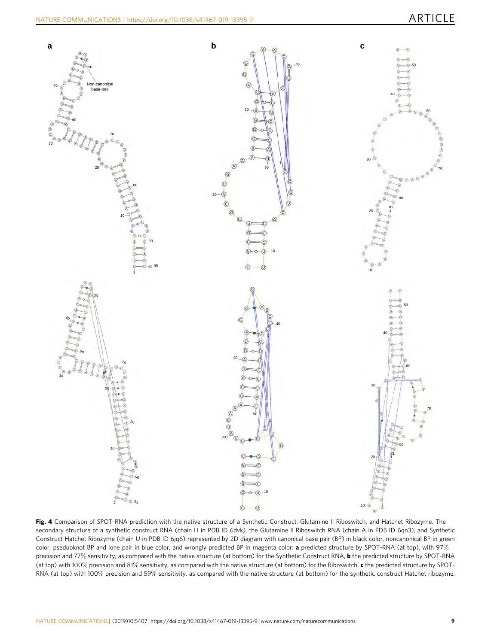<span id="page-8-0"></span>

Fig. 4 Comparison of SPOT-RNA prediction with the native structure of a Synthetic Construct, Glutamine II Riboswitch, and Hatchet Ribozyme. The secondary structure of a synthetic construct RNA (chain H in PDB ID 6dvk), the Glutamine II Riboswitch RNA (chain A in PDB ID 6qn3), and Synthetic Construct Hatchet Ribozyme (chain U in PDB ID 6jq6) represented by 2D diagram with canonical base pair (BP) in black color, noncanonical BP in green color, pseduoknot BP and lone pair in blue color, and wrongly predicted BP in magenta color: a predicted structure by SPOT-RNA (at top), with 97% precision and 77% sensitivity, as compared with the native structure (at bottom) for the Synthetic Construct RNA, **b** the predicted structure by SPOT-RNA (at top) with 100% precision and 81% sensitivity, as compared with the native structure (at bottom) for the Riboswitch, c the predicted structure by SPOT-RNA (at top) with 100% precision and 59% sensitivity, as compared with the native structure (at bottom) for the synthetic construct Hatchet ribozyme.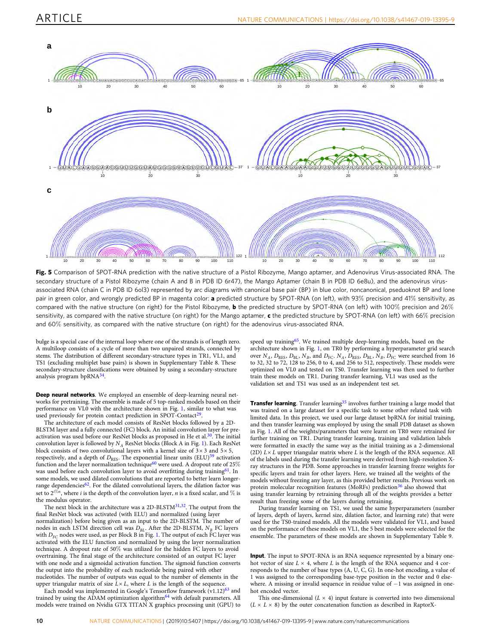<span id="page-9-0"></span>

Fig. 5 Comparison of SPOT-RNA prediction with the native structure of a Pistol Ribozyme, Mango aptamer, and Adenovirus Virus-associated RNA. The secondary structure of a Pistol Ribozyme (chain A and B in PDB ID 6r47), the Mango Aptamer (chain B in PDB ID 6e8u), and the adenovirus virusassociated RNA (chain C in PDB ID 6ol3) represented by arc diagrams with canonical base pair (BP) in blue color, noncanonical, pseduoknot BP and lone pair in green color, and wrongly predicted BP in magenta color: a predicted structure by SPOT-RNA (on left), with 93% precision and 41% sensitivity, as compared with the native structure (on right) for the Pistol Ribozyme, **b** the predicted structure by SPOT-RNA (on left) with 100% precision and 26% sensitivity, as compared with the native structure (on right) for the Mango aptamer,  $c$  the predicted structure by SPOT-RNA (on left) with 66% precision and 60% sensitivity, as compared with the native structure (on right) for the adenovirus virus-associated RNA.

bulge is a special case of the internal loop where one of the strands is of length zero. A multiloop consists of a cycle of more than two unpaired strands, connected by stems. The distribution of different secondary-structure types in TR1, VL1, and TS1 (excluding multiplet base pairs) is shown in Supplementary Table 8. These secondary-structure classifications were obtained by using a secondary-structure analysis program bpRNA[34](#page-11-0).

Deep neural networks. We employed an ensemble of deep-learning neural networks for pretraining. The ensemble is made of 5 top-ranked models based on their performance on VL0 with the architecture shown in Fig. [1,](#page-2-0) similar to what was used previously for protein contact prediction in SPOT-Contact<sup>[29](#page-11-0)</sup>

The architecture of each model consists of ResNet blocks followed by a 2D-BLSTM layer and a fully connected (FC) block. An initial convolution layer for preactivation was used before our ResNet blocks as proposed in He et al.<sup>30</sup>. The initial convolution layer is followed by  $N_A$  ResNet blocks (Block A in Fig. [1\)](#page-2-0). Each ResNet block consists of two convolutional layers with a kernel size of  $3 \times 3$  and  $5 \times 5$ , respectively, and a depth of  $D_{\rm RES}$ . The exponential linear units (ELU)<sup>[59](#page-12-0)</sup> activation function and the layer normalization technique<sup>[60](#page-12-0)</sup> were used. A dropout rate of  $25\%$ was used before each convolution layer to avoid overfitting during training<sup>[61](#page-12-0)</sup>. In some models, we used dilated convolutions that are reported to better learn longer-range dependencies<sup>[62](#page-12-0)</sup>. For the dilated convolutional layers, the dilation factor was set to  $2^{i\%n}$ , where *i* is the depth of the convolution layer, *n* is a fixed scalar, and  $\%$  is the modulus operator.

The next block in the architecture was a 2D-BLSTM<sup>[31](#page-11-0),[32](#page-11-0)</sup>. The output from the final ResNet block was activated (with ELU) and normalized (using layer

normalization) before being given as an input to the 2D-BLSTM. The number of nodes in each LSTM direction cell was  $D_{BL}$ . After the 2D-BLSTM,  $N_B$  FC layers with  $D_{FC}$  nodes were used, as per Block B in Fig. [1](#page-2-0). The output of each FC layer was activated with the ELU function and normalized by using the layer normalization technique. A dropout rate of 50% was utilized for the hidden FC layers to avoid overtraining. The final stage of the architecture consisted of an output FC layer with one node and a sigmoidal activation function. The sigmoid function converts the output into the probability of each nucleotide being paired with other nucleotides. The number of outputs was equal to the number of elements in the upper triangular matrix of size  $\bar{L} \times L$ , where L is the length of the sequence.

Each model was implemented in Google's Tensorflow framework (v1.12)<sup>[63](#page-12-0)</sup> and trained by using the ADAM optimization algorithm $^{64}$  $^{64}$  $^{64}$  with default parameters. All models were trained on Nvidia GTX TITAN X graphics processing unit (GPU) to speed up training<sup>65</sup>. We trained multiple deep-learning models, based on the architecture shown in Fig. [1](#page-2-0), on TR0 by performing a hyperparameter grid search over  $N_A$ ,  $D_{RES}$ ,  $D_{BL}$ ,  $N_B$ , and  $D_{FC}$ .  $N_A$ ,  $D_{RES}$ ,  $D_{BL}$ ,  $N_B$ ,  $D_{FC}$  were searched from 16 to 32, 32 to 72, 128 to 256, 0 to 4, and 256 to 512, respectively. These models were optimized on VL0 and tested on TS0. Transfer learning was then used to further train these models on TR1. During transfer learning, VL1 was used as the validation set and TS1 was used as an independent test set.

Transfer learning. Transfer learning<sup>[35](#page-11-0)</sup> involves further training a large model that was trained on a large dataset for a specific task to some other related task with limited data. In this project, we used our large dataset bpRNA for initial training, and then transfer learning was employed by using the small PDB dataset as shown in Fig. [1](#page-2-0). All of the weights/parameters that were learnt on TR0 were retrained for further training on TR1. During transfer learning, training and validation labels were formatted in exactly the same way as the initial training as a 2-dimensional (2D)  $L \times L$  upper triangular matrix where  $L$  is the length of the RNA sequence. All of the labels used during the transfer learning were derived from high-resolution Xray structures in the PDB. Some approaches in transfer learning freeze weights for specific layers and train for other layers. Here, we trained all the weights of the models without freezing any layer, as this provided better results. Previous work on protein molecular recognition features ( $M$ oRFs) prediction<sup>[36](#page-11-0)</sup> also showed that using transfer learning by retraining through all of the weights provides a better result than freezing some of the layers during retraining.

During transfer learning on TS1, we used the same hyperparameters (number of layers, depth of layers, kernel size, dilation factor, and learning rate) that were used for the TS0-trained models. All the models were validated for VL1, and based on the performance of these models on VL1, the 5 best models were selected for the ensemble. The parameters of these models are shown in Supplementary Table 9.

Input. The input to SPOT-RNA is an RNA sequence represented by a binary onehot vector of size  $L \times 4$ , where L is the length of the RNA sequence and 4 corresponds to the number of base types (A, U, C, G). In one-hot encoding, a value of 1 was assigned to the corresponding base-type position in the vector and 0 elsewhere. A missing or invalid sequence in residue value of −1 was assigned in onehot encoded vector.

This one-dimensional  $(L \times 4)$  input feature is converted into two dimensional  $(L \times L \times 8)$  by the outer concatenation function as described in RaptorX-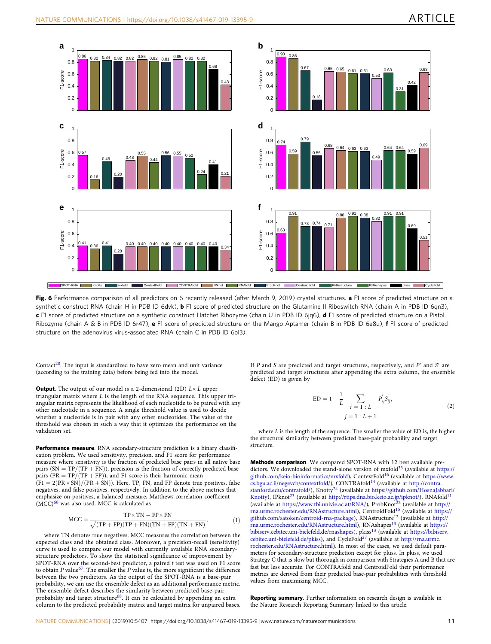<span id="page-10-0"></span>

Fig. 6 Performance comparison of all predictors on 6 recently released (after March 9, 2019) crystal structures. a F1 score of predicted structure on a synthetic construct RNA (chain H in PDB ID 6dvk), **b** F1 score of predicted structure on the Glutamine II Riboswitch RNA (chain A in PDB ID 6qn3), c F1 score of predicted structure on a synthetic construct Hatchet Ribozyme (chain U in PDB ID 6jq6), d F1 score of predicted structure on a Pistol Ribozyme (chain A & B in PDB ID 6r47), e F1 score of predicted structure on the Mango Aptamer (chain B in PDB ID 6e8u), f F1 score of predicted structure on the adenovirus virus-associated RNA (chain C in PDB ID 6ol3).

Contact<sup>28</sup>. The input is standardized to have zero mean and unit variance (according to the training data) before being fed into the model.

**Output**. The output of our model is a 2-dimensional (2D)  $L \times L$  upper triangular matrix where  $L$  is the length of the RNA sequence. This upper triangular matrix represents the likelihood of each nucleotide to be paired with any other nucleotide in a sequence. A single threshold value is used to decide whether a nucleotide is in pair with any other nucleotides. The value of the threshold was chosen in such a way that it optimizes the performance on the validation set.

Performance measure. RNA secondary-structure prediction is a binary classification problem. We used sensitivity, precision, and F1 score for performance measure where sensitivity is the fraction of predicted base pairs in all native base pairs (SN  $=$  TP/(TP  $+$  FN)), precision is the fraction of correctly predicted base pairs ( $PR = TP/(TP + FP)$ ), and F1 score is their harmonic mean  $(F1 = 2(PR * SN)/(PR + SN)$ . Here, TP, FN, and FP denote true positives, false negatives, and false positives, respectively. In addition to the above metrics that emphasize on positives, a balanced measure, Matthews correlation coefficient (MCC)<sup>66</sup> was also used. MCC is calculated as

$$
MCC = \frac{TP \times TN - FP \times FN}{\sqrt{(TP + FP)(TP + FN)(TN + FP)(TN + FN)}},
$$
\n(1)

where TN denotes true negatives. MCC measures the correlation between the expected class and the obtained class. Moreover, a precision-recall (sensitivity) curve is used to compare our model with currently available RNA secondarystructure predictors. To show the statistical significance of improvement by SPOT-RNA over the second-best predictor, a paired t test was used on F1 score to obtain  $P$  value<sup>[67](#page-12-0)</sup>. The smaller the  $P$  value is, the more significant the difference between the two predictors. As the output of the SPOT-RNA is a base-pair probability, we can use the ensemble defect as an additional performance metric. The ensemble defect describes the similarity between predicted base-pair probability and target structure<sup>68</sup>. It can be calculated by appending an extra column to the predicted probability matrix and target matrix for unpaired bases.

If P and S are predicted and target structures, respectively, and  $P'$  and  $S'$  are predicted and target structures after appending the extra column, the ensemble defect (ED) is given by

$$
ED = 1 - \frac{1}{L} \sum_{\substack{i = 1 \ i L}} P_{ij} S'_{ij},
$$
  

$$
j = 1 : L + 1
$$
 (2)

where  $L$  is the length of the sequence. The smaller the value of  $ED$  is, the higher the structural similarity between predicted base-pair probability and target structure.

Methods comparison. We compared SPOT-RNA with 12 best available predictors. We downloaded the stand-alone version of mxfold $33$  (available at [https://](https://github.com/keio-bioinformatics/mxfold) [github.com/keio-bioinformatics/mxfold](https://github.com/keio-bioinformatics/mxfold)), ContextFold[16](#page-11-0) (available at [https://www.](https://www.cs.bgu.ac.il/negevcb/contextfold/) [cs.bgu.ac.il/negevcb/contextfold/\)](https://www.cs.bgu.ac.il/negevcb/contextfold/), CONTRAfold[14](#page-11-0) (available at [http://contra.](http://contra.stanford.edu/contrafold/) [stanford.edu/contrafold/\)](http://contra.stanford.edu/contrafold/), Knotty<sup>[24](#page-11-0)</sup> (available at [https://github.com/HosnaJabbari/](https://github.com/HosnaJabbari/Knotty) [Knotty](https://github.com/HosnaJabbari/Knotty)), IPknot<sup>[23](#page-11-0)</sup> (available at [http://rtips.dna.bio.keio.ac.jp/ipknot/\)](http://rtips.dna.bio.keio.ac.jp/ipknot/), RNAfold<sup>[11](#page-11-0)</sup> (available at <https://www.tbi.univie.ac.at/RNA/>), ProbKnot<sup>[22](#page-11-0)</sup> (available at [http://](http://rna.urmc.rochester.edu/RNAstructure.html) [rna.urmc.rochester.edu/RNAstructure.html](http://rna.urmc.rochester.edu/RNAstructure.html)), CentroidFold[15](#page-11-0) (available at [https://](https://github.com/satoken/centroid-rna-package) [github.com/satoken/centroid-rna-package](https://github.com/satoken/centroid-rna-package)), RNAstructure<sup>[12](#page-11-0)</sup> (available at [http://](http://rna.urmc.rochester.edu/RNAstructure.html) [rna.urmc.rochester.edu/RNAstructure.html](http://rna.urmc.rochester.edu/RNAstructure.html)), RNAshapes[13](#page-11-0) (available at [https://](https://bibiserv.cebitec.uni-bielefeld.de/rnashapes) [bibiserv.cebitec.uni-bielefeld.de/rnashapes\)](https://bibiserv.cebitec.uni-bielefeld.de/rnashapes), pkiss<sup>[13](#page-11-0)</sup> (available at [https://bibiserv.](https://bibiserv.cebitec.uni-bielefeld.de/pkiss) [cebitec.uni-bielefeld.de/pkiss](https://bibiserv.cebitec.uni-bielefeld.de/pkiss)), and CycleFold<sup>[27](#page-11-0)</sup> (available at [http://rna.urmc.](http://rna.urmc.rochester.edu/RNAstructure.html) [rochester.edu/RNAstructure.html\)](http://rna.urmc.rochester.edu/RNAstructure.html). In most of the cases, we used default parameters for secondary-structure prediction except for pkiss. In pkiss, we used Strategy C that is slow but thorough in comparison with Strategies A and B that are fast but less accurate. For CONTRAfold and CentroidFold their performance metrics are derived from their predicted base-pair probabilities with threshold values from maximizing MCC.

Reporting summary. Further information on research design is available in the Nature Research Reporting Summary linked to this article.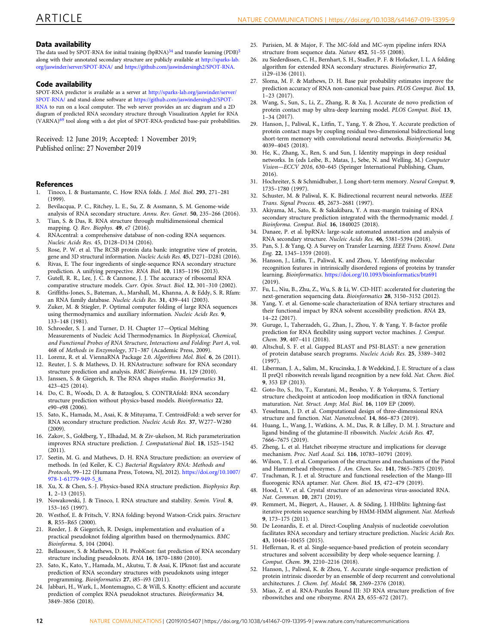### <span id="page-11-0"></span>Data availability

The data used by SPOT-RNA for initial training (bpRNA) $^{34}$  and transfer learning (PDB) $^5$ along with their annotated secondary structure are publicly available at [http://sparks-lab.](http://sparks-lab.org/jaswinder/server/SPOT-RNA/) [org/jaswinder/server/SPOT-RNA/](http://sparks-lab.org/jaswinder/server/SPOT-RNA/) and <https://github.com/jaswindersingh2/SPOT-RNA>.

#### Code availability

SPOT-RNA predictor is available as a server at [http://sparks-lab.org/jaswinder/server/](http://sparks-lab.org/jaswinder/server/SPOT-RNA/) [SPOT-RNA/](http://sparks-lab.org/jaswinder/server/SPOT-RNA/) and stand-alone software at [https://github.com/jaswindersingh2/SPOT-](https://github.com/jaswindersingh2/SPOT-RNA)[RNA](https://github.com/jaswindersingh2/SPOT-RNA) to run on a local computer. The web server provides an arc diagram and a 2D diagram of predicted RNA secondary structure through Visualization Applet for RNA (VARNA)[69](#page-12-0) tool along with a dot plot of SPOT-RNA-predicted base-pair probabilities.

Received: 12 June 2019; Accepted: 1 November 2019; Published online: 27 November 2019

#### References

- 1. Tinoco, I. & Bustamante, C. How RNA folds. J. Mol. Biol. 293, 271–281 (1999).
- 2. Bevilacqua, P. C., Ritchey, L. E., Su, Z. & Assmann, S. M. Genome-wide analysis of RNA secondary structure. Annu. Rev. Genet. 50, 235–266 (2016).
- 3. Tian, S. & Das, R. RNA structure through multidimensional chemical mapping. Q. Rev. Biophys. 49, e7 (2016).
- 4. RNAcentral: a comprehensive database of non-coding RNA sequences. Nucleic Acids Res. 45, D128–D134 (2016).
- 5. Rose, P. W. et al. The RCSB protein data bank: integrative view of protein, gene and 3D structural information. Nucleic Acids Res. 45, D271–D281 (2016).
- 6. Rivas, E. The four ingredients of single-sequence RNA secondary structure prediction. A unifying perspective. RNA Biol. 10, 1185–1196 (2013).
- 7. Gutell, R. R., Lee, J. C. & Cannone, J. J. The accuracy of ribosomal RNA comparative structure models. Curr. Opin. Struct. Biol. 12, 301–310 (2002).
- 8. Griffiths-Jones, S., Bateman, A., Marshall, M., Khanna, A. & Eddy, S. R. Rfam: an RNA family database. Nucleic Acids Res. 31, 439–441 (2003).
- 9. Zuker, M. & Stiegler, P. Optimal computer folding of large RNA sequences using thermodynamics and auxiliary information. Nucleic Acids Res. 9, 133-148 (1981).
- 10. Schroeder, S. J. and Turner, D. H. Chapter 17—Optical Melting Measurements of Nucleic Acid Thermodynamics. In Biophysical, Chemical, and Functional Probes of RNA Structure, Interactions and Folding: Part A, vol. 468 of Methods in Enzymology, 371–387 (Academic Press, 2009).
- 11. Lorenz, R. et al. ViennaRNA Package 2.0. Algorithms Mol. Biol. 6, 26 (2011).
- 12. Reuter, J. S. & Mathews, D. H. RNAstructure: software for RNA secondary structure prediction and analysis. BMC Bioinforma. 11, 129 (2010).
- 13. Janssen, S. & Giegerich, R. The RNA shapes studio. Bioinformatics 31, 423–425 (2014).
- 14. Do, C. B., Woods, D. A. & Batzoglou, S. CONTRAfold: RNA secondary structure prediction without physics-based models. Bioinformatics 22, e90-e98 (2006).
- 15. Sato, K., Hamada, M., Asai, K. & Mituyama, T. CentroidFold: a web server for RNA secondary structure prediction. Nucleic Acids Res. 37, W277–W280  $(2009)$
- 16. Zakov, S., Goldberg, Y., Elhadad, M. & Ziv-ukelson, M. Rich parameterization improves RNA structure prediction. J. Computational Biol. 18, 1525–1542 (2011).
- 17. Seetin, M. G. and Mathews, D. H. RNA Structure prediction: an overview of methods. In (ed Keiler, K. C.) Bacterial Regulatory RNA: Methods and Protocols, 99–122 (Humana Press, Totowa, NJ, 2012). [https://doi.org/10.1007/](https://doi.org/10.1007/978-1-61779-949-5_8) [978-1-61779-949-5\\_8.](https://doi.org/10.1007/978-1-61779-949-5_8)
- 18. Xu, X. & Chen, S.-J. Physics-based RNA structure prediction. Biophysics Rep. 1, 2–13 (2015).
- 19. Nowakowski, J. & Tinoco, I. RNA structure and stability. Semin. Virol. 8, 153–165 (1997).
- 20. Westhof, E. & Fritsch, V. RNA folding: beyond Watson-Crick pairs. Structure 8, R55–R65 (2000).
- 21. Reeder, J. & Giegerich, R. Design, implementation and evaluation of a practical pseudoknot folding algorithm based on thermodynamics. BMC Bioinforma. 5, 104 (2004).
- 22. Bellaousov, S. & Mathews, D. H. ProbKnot: fast prediction of RNA secondary structure including pseudoknots. RNA 16, 1870–1880 (2010).
- 23. Sato, K., Kato, Y., Hamada, M., Akutsu, T. & Asai, K. IPknot: fast and accurate prediction of RNA secondary structures with pseudoknots using integer programming. Bioinformatics 27, i85-i93 (2011).
- 24. Jabbari, H., Wark, I., Montemagno, C. & Will, S. Knotty: efficient and accurate prediction of complex RNA pseudoknot structures. Bioinformatics 34, 3849–3856 (2018).
- 25. Parisien, M. & Major, F. The MC-fold and MC-sym pipeline infers RNA structure from sequence data. Nature 452, 51–55 (2008).
- 26. zu Siederdissen, C. H., Bernhart, S. H., Stadler, P. F. & Hofacker, I. L. A folding algorithm for extended RNA secondary structures. Bioinformatics 27, i129–i136 (2011).
- 27. Sloma, M. F. & Mathews, D. H. Base pair probability estimates improve the prediction accuracy of RNA non-canonical base pairs. PLOS Comput. Biol. 13, 1–23 (2017).
- 28. Wang, S., Sun, S., Li, Z., Zhang, R. & Xu, J. Accurate de novo prediction of protein contact map by ultra-deep learning model. PLOS Comput. Biol. 13, 1–34 (2017).
- 29. Hanson, J., Paliwal, K., Litfin, T., Yang, Y. & Zhou, Y. Accurate prediction of protein contact maps by coupling residual two-dimensional bidirectional long short-term memory with convolutional neural networks. Bioinformatics 34, 4039–4045 (2018).
- 30. He, K., Zhang, X., Ren, S. and Sun, J. Identity mappings in deep residual networks. In (eds Leibe, B., Matas, J., Sebe, N. and Welling, M.) Computer Vision—ECCV 2016, 630–645 (Springer International Publishing, Cham, 2016).
- 31. Hochreiter, S. & Schmidhuber, J. Long short-term memory. Neural Comput. 9, 1735–1780 (1997).
- 32. Schuster, M. & Paliwal, K. K. Bidirectional recurrent neural networks. IEEE Trans. Signal Process. 45, 2673–2681 (1997).
- 33. Akiyama, M., Sato, K. & Sakakibara, Y. A max-margin training of RNA secondary structure prediction integrated with the thermodynamic model. J. Bioinforma. Comput. Biol. 16, 1840025 (2018).
- 34. Danaee, P. et al. bpRNA: large-scale automated annotation and analysis of RNA secondary structure. Nucleic Acids Res. 46, 5381–5394 (2018).
- 35. Pan, S. J. & Yang, Q. A Survey on Transfer Learning. IEEE Trans. Knowl. Data Eng. 22, 1345–1359 (2010).
- 36. Hanson, J., Litfin, T., Paliwal, K. and Zhou, Y. Identifying molecular recognition features in intrinsically disordered regions of proteins by transfer learning. Bioinformatics. <https://doi.org/10.1093/bioinformatics/btz691> (2019).
- 37. Fu, L., Niu, B., Zhu, Z., Wu, S. & Li, W. CD-HIT: accelerated for clustering the next-generation sequencing data. Bioinformatics 28, 3150–3152 (2012).
- 38. Yang, Y. et al. Genome-scale characterization of RNA tertiary structures and their functional impact by RNA solvent accessibility prediction. RNA 23, 14–22 (2017).
- 39. Guruge, I., Taherzadeh, G., Zhan, J., Zhou, Y. & Yang, Y. B-factor profile prediction for RNA flexibility using support vector machines. J. Comput. Chem. 39, 407–411 (2018).
- 40. Altschul, S. F. et al. Gapped BLAST and PSI-BLAST: a new generation of protein database search programs. Nucleic Acids Res. 25, 3389–3402 (1997).
- 41. Liberman, J. A., Salim, M., Krucinska, J. & Wedekind, J. E. Structure of a class II preQ1 riboswitch reveals ligand recognition by a new fold. Nat. Chem. Biol. 9, 353 EP (2013).
- 42. Goto-Ito, S., Ito, T., Kuratani, M., Bessho, Y. & Yokoyama, S. Tertiary structure checkpoint at anticodon loop modification in tRNA functional maturation. Nat. Struct. Amp; Mol. Biol. 16, 1109 EP (2009).
- 43. Yesselman, J. D. et al. Computational design of three-dimensional RNA structure and function. Nat. Nanotechnol. 14, 866–873 (2019).
- 44. Huang, L., Wang, J., Watkins, A. M., Das, R. & Lilley, D. M. J. Structure and ligand binding of the glutamine-II riboswitch. Nucleic Acids Res. 47, 7666–7675 (2019).
- 45. Zheng, L. et al. Hatchet ribozyme structure and implications for cleavage mechanism. Proc. Natl Acad. Sci. 116, 10783–10791 (2019).
- 46. Wilson, T. J. et al. Comparison of the structures and mechanisms of the Pistol and Hammerhead ribozymes. J. Am. Chem. Soc. 141, 7865–7875 (2019).
- 47. Trachman, R. J. et al. Structure and functional reselection of the Mango-III fluorogenic RNA aptamer. Nat. Chem. Biol. 15, 472-479 (2019).
- 48. Hood, I. V. et al. Crystal structure of an adenovirus virus-associated RNA. Nat. Commun. 10, 2871 (2019).
- 49. Remmert, M., Biegert, A., Hauser, A. & Söding, J. HHblits: lightning-fast iterative protein sequence searching by HMM-HMM alignment. Nat. Methods 9, 173–175 (2011).
- 50. De Leonardis, E. et al. Direct-Coupling Analysis of nucleotide coevolution facilitates RNA secondary and tertiary structure prediction. Nucleic Acids Res. 43, 10444–10455 (2015).
- 51. Heffernan, R. et al. Single-sequence-based prediction of protein secondary structures and solvent accessibility by deep whole-sequence learning. J. Comput. Chem. 39, 2210–2216 (2018).
- 52. Hanson, J., Paliwal, K. & Zhou, Y. Accurate single-sequence prediction of protein intrinsic disorder by an ensemble of deep recurrent and convolutional architectures. J. Chem. Inf. Model. 58, 2369–2376 (2018).
- 53. Miao, Z. et al. RNA-Puzzles Round III: 3D RNA structure prediction of five riboswitches and one ribozyme. RNA 23, 655–672 (2017).